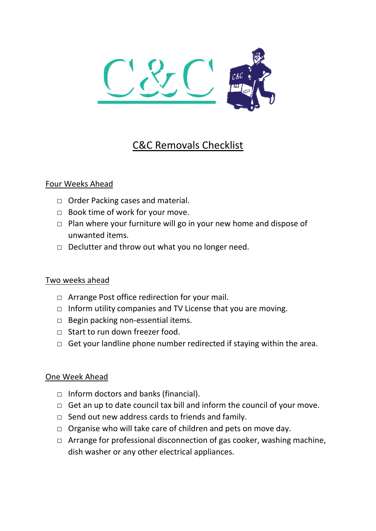

# C&C Removals Checklist

#### Four Weeks Ahead

- □ Order Packing cases and material.
- □ Book time of work for your move.
- $\Box$  Plan where your furniture will go in your new home and dispose of unwanted items.
- $\Box$  Declutter and throw out what you no longer need.

## Two weeks ahead

- □ Arrange Post office redirection for your mail.
- $\Box$  Inform utility companies and TV License that you are moving.
- $\Box$  Begin packing non-essential items.
- □ Start to run down freezer food.
- $\Box$  Get your landline phone number redirected if staying within the area.

## One Week Ahead

- $\Box$  Inform doctors and banks (financial).
- $\Box$  Get an up to date council tax bill and inform the council of your move.
- $\Box$  Send out new address cards to friends and family.
- $\Box$  Organise who will take care of children and pets on move day.
- $\Box$  Arrange for professional disconnection of gas cooker, washing machine, dish washer or any other electrical appliances.